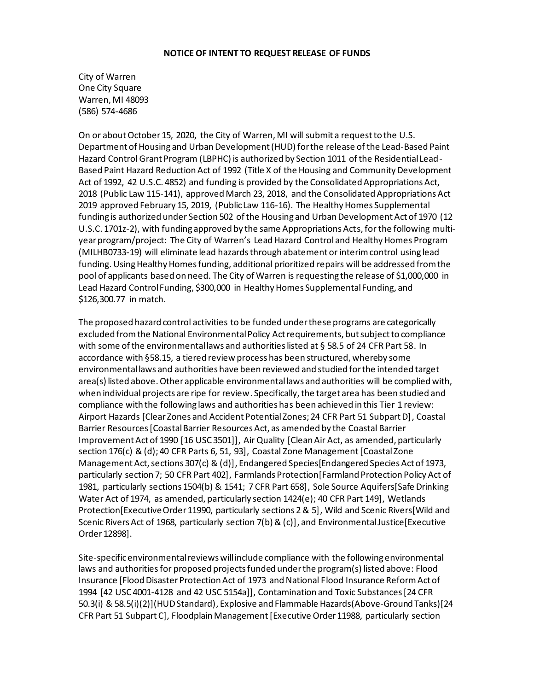## **NOTICE OF INTENT TO REQUEST RELEASE OF FUNDS**

City of Warren One City Square Warren, MI 48093 (586) 574-4686

On or about October 15, 2020, the City of Warren, MI will submit a request to the U.S. Department of Housing and Urban Development (HUD) for the release of the Lead-Based Paint Hazard Control Grant Program (LBPHC) is authorized by Section 1011 of the Residential Lead-Based Paint Hazard Reduction Act of 1992 (Title X of the Housing and Community Development Act of 1992, 42 U.S.C. 4852) and funding is provided by the Consolidated Appropriations Act, 2018 (Public Law 115-141), approved March 23, 2018, and the Consolidated Appropriations Act 2019 approved February 15, 2019, (Public Law 116-16). The Healthy Homes Supplemental funding is authorized under Section 502 of the Housing and Urban Development Act of 1970 (12 U.S.C. 1701z-2), with funding approved by the same Appropriations Acts, for the following multiyear program/project: The City of Warren's Lead Hazard Control and Healthy Homes Program (MILHB0733-19) will eliminate lead hazards through abatement or interim control using lead funding. Using Healthy Homes funding, additional prioritized repairs will be addressed from the pool of applicants based on need. The City of Warren is requesting the release of \$1,000,000 in Lead Hazard Control Funding, \$300,000 in Healthy Homes Supplemental Funding, and \$126,300.77 in match.

The proposed hazard control activities to be funded under these programs are categorically excluded from the National Environmental Policy Act requirements, but subject to compliance with some of the environmental laws and authorities listed at § 58.5 of 24 CFR Part 58. In accordance with §58.15, a tiered review process has been structured, whereby some environmental laws and authorities have been reviewed and studied for the intended target area(s) listed above. Other applicable environmental laws and authorities will be complied with, when individual projects are ripe for review. Specifically, the target area has been studied and compliance with the following laws and authorities has been achieved in this Tier 1 review: Airport Hazards [Clear Zones and Accident Potential Zones; 24 CFR Part 51 Subpart D], Coastal Barrier Resources [Coastal Barrier Resources Act, as amended by the Coastal Barrier Improvement Act of 1990 [16 USC 3501]], Air Quality [Clean Air Act, as amended, particularly section 176(c) & (d); 40 CFR Parts 6, 51, 93], Coastal Zone Management[Coastal Zone Management Act, sections 307(c) & (d)], Endangered Species[Endangered Species Act of 1973, particularly section 7; 50 CFR Part 402], Farmlands Protection[Farmland Protection Policy Act of 1981, particularly sections 1504(b) & 1541; 7 CFR Part 658], Sole Source Aquifers[Safe Drinking Water Act of 1974, as amended, particularly section 1424(e); 40 CFR Part 149], Wetlands Protection[Executive Order 11990, particularly sections 2 & 5], Wild and Scenic Rivers[Wild and Scenic Rivers Act of 1968, particularly section 7(b) & (c)], and Environmental Justice[Executive Order 12898].

Site-specific environmental reviews will include compliance with the following environmental laws and authoritiesfor proposed projects funded under the program(s) listed above: Flood Insurance [Flood Disaster Protection Act of 1973 and National Flood Insurance Reform Act of 1994 [42 USC 4001-4128 and 42 USC 5154a]], Contamination and Toxic Substances [24 CFR 50.3(i) & 58.5(i)(2)](HUD Standard), Explosive and Flammable Hazards(Above-Ground Tanks)[24 CFR Part 51 Subpart C], Floodplain Management[Executive Order 11988, particularly section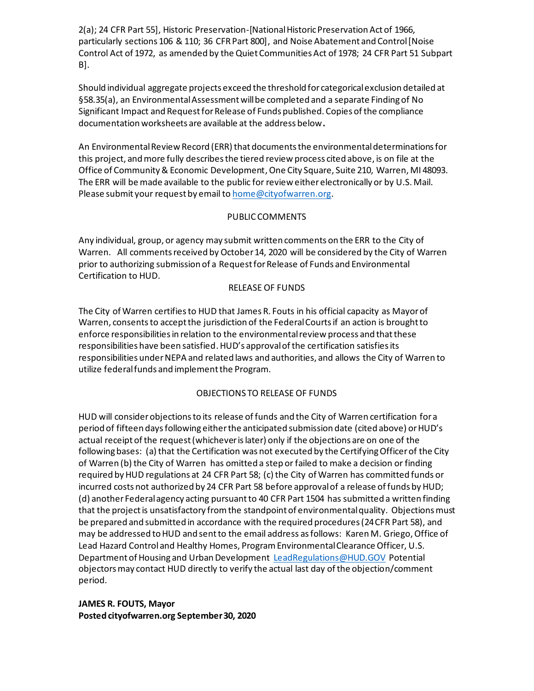2(a); 24 CFR Part 55], Historic Preservation-[National Historic Preservation Act of 1966, particularly sections 106 & 110; 36 CFR Part 800], and Noise Abatement and Control [Noise Control Act of 1972, as amended by the Quiet Communities Act of 1978; 24 CFR Part 51 Subpart B].

Should individual aggregate projects exceed the threshold for categorical exclusion detailed at §58.35(a), an Environmental Assessment will be completed and a separate Finding of No Significant Impact and Request for Release of Funds published. Copies of the compliance documentation worksheets are available at the address below**.**

An Environmental Review Record (ERR) that documents the environmental determinations for this project, and more fully describes the tiered review process cited above, is on file at the Office of Community & Economic Development, One City Square, Suite 210, Warren, MI 48093. The ERR will be made available to the public for review either electronically or by U.S. Mail. Please submit your request by email to home@cityofwarren.org.

## PUBLIC COMMENTS

Any individual, group, or agency may submit written comments on the ERR to the City of Warren. All comments received by October 14, 2020 will be considered by the City of Warren prior to authorizing submission of a Request for Release of Funds and Environmental Certification to HUD.

## RELEASE OF FUNDS

The City of Warren certifiesto HUD that James R. Fouts in his official capacity as Mayor of Warren, consents to accept the jurisdiction of the Federal Courts if an action is brought to enforce responsibilities in relation to the environmental review process and that these responsibilities have been satisfied. HUD's approval of the certification satisfies its responsibilities under NEPA and related laws and authorities, and allows the City of Warren to utilize federal funds and implement the Program.

## OBJECTIONS TO RELEASE OF FUNDS

HUD will consider objections to its release of funds and the City of Warren certification for a period of fifteen days following either the anticipated submission date (cited above) or HUD's actual receipt of the request (whichever is later) only if the objections are on one of the following bases: (a) that the Certification was not executed by the Certifying Officer of the City of Warren (b) the City of Warren has omitted a step or failed to make a decision or finding required by HUD regulations at 24 CFR Part 58; (c) the City of Warren has committed funds or incurred costs not authorized by 24 CFR Part 58 before approval of a release of funds by HUD; (d) another Federal agency acting pursuant to 40 CFR Part 1504 has submitted a written finding that the project is unsatisfactory from the standpoint of environmental quality. Objections must be prepared and submitted in accordance with the required procedures (24 CFR Part 58), and may be addressed to HUD and sent to the email address as follows: Karen M. Griego, Office of Lead Hazard Control and Healthy Homes, Program Environmental Clearance Officer, U.S. Department of Housing and Urban Development LeadRegulations@HUD.GOV Potential objectors may contact HUD directly to verify the actual last day of the objection/comment period.

**JAMES R. FOUTS, Mayor Posted cityofwarren.org September 30, 2020**